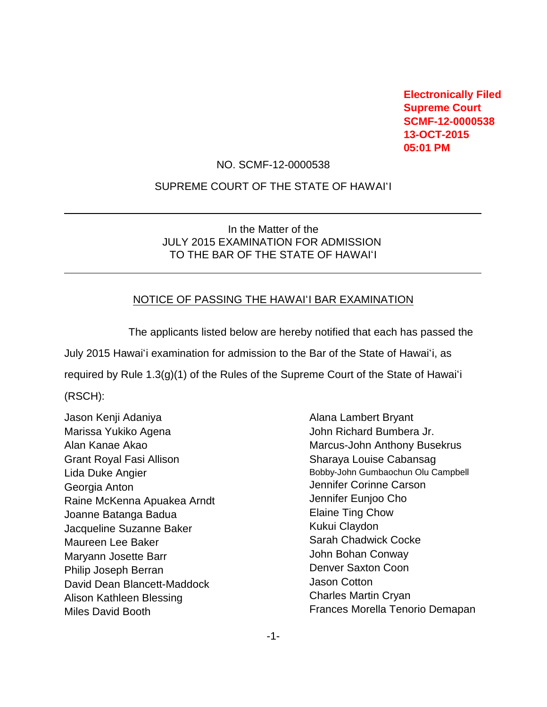**Electronically Filed Supreme Court SCMF-12-0000538 13-OCT-2015 05:01 PM** 

#### NO. SCMF-12-0000538

### SUPREME COURT OF THE STATE OF HAWAI'I

## In the Matter of the JULY 2015 EXAMINATION FOR ADMISSION TO THE BAR OF THE STATE OF HAWAI'I

### NOTICE OF PASSING THE HAWAI'I BAR EXAMINATION

The applicants listed below are hereby notified that each has passed the July 2015 Hawai'i examination for admission to the Bar of the State of Hawai'i, as required by Rule 1.3(g)(1) of the Rules of the Supreme Court of the State of Hawai'i (RSCH):

Jason Kenji Adaniya Marissa Yukiko Agena Alan Kanae Akao Grant Royal Fasi Allison Lida Duke Angier Georgia Anton Raine McKenna Apuakea Arndt Joanne Batanga Badua Jacqueline Suzanne Baker Maureen Lee Baker Maryann Josette Barr Philip Joseph Berran David Dean Blancett-Maddock Alison Kathleen Blessing Miles David Booth

 $\overline{a}$ 

 $\overline{a}$ 

Alana Lambert Bryant John Richard Bumbera Jr. Marcus-John Anthony Busekrus Sharaya Louise Cabansag Bobby-John Gumbaochun Olu Campbell Jennifer Corinne Carson Jennifer Eunjoo Cho Elaine Ting Chow Kukui Claydon Sarah Chadwick Cocke John Bohan Conway Denver Saxton Coon Jason Cotton Charles Martin Cryan Frances Morella Tenorio Demapan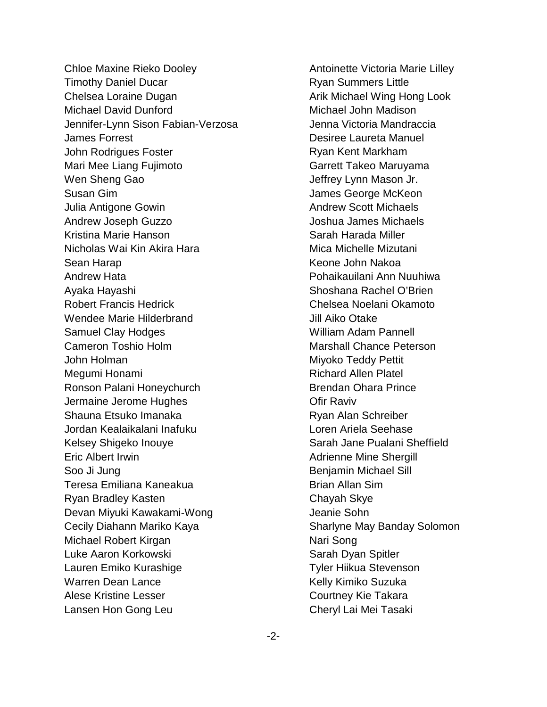Chloe Maxine Rieko Dooley Timothy Daniel Ducar Chelsea Loraine Dugan Michael David Dunford Jennifer-Lynn Sison Fabian-Verzosa James Forrest John Rodrigues Foster Mari Mee Liang Fujimoto Wen Sheng Gao Susan Gim Julia Antigone Gowin Andrew Joseph Guzzo Kristina Marie Hanson Nicholas Wai Kin Akira Hara Sean Harap Andrew Hata Ayaka Hayashi Robert Francis Hedrick Wendee Marie Hilderbrand Samuel Clay Hodges Cameron Toshio Holm John Holman Megumi Honami Ronson Palani Honeychurch Jermaine Jerome Hughes Shauna Etsuko Imanaka Jordan Kealaikalani Inafuku Kelsey Shigeko Inouye Eric Albert Irwin Soo Ji Jung Teresa Emiliana Kaneakua Ryan Bradley Kasten Devan Miyuki Kawakami-Wong Cecily Diahann Mariko Kaya Michael Robert Kirgan Luke Aaron Korkowski Lauren Emiko Kurashige Warren Dean Lance Alese Kristine Lesser Lansen Hon Gong Leu

Antoinette Victoria Marie Lilley Ryan Summers Little Arik Michael Wing Hong Look Michael John Madison Jenna Victoria Mandraccia Desiree Laureta Manuel Ryan Kent Markham Garrett Takeo Maruyama Jeffrey Lynn Mason Jr. James George McKeon Andrew Scott Michaels Joshua James Michaels Sarah Harada Miller Mica Michelle Mizutani Keone John Nakoa Pohaikauilani Ann Nuuhiwa Shoshana Rachel O'Brien Chelsea Noelani Okamoto Jill Aiko Otake William Adam Pannell Marshall Chance Peterson Miyoko Teddy Pettit Richard Allen Platel Brendan Ohara Prince Ofir Raviv Ryan Alan Schreiber Loren Ariela Seehase Sarah Jane Pualani Sheffield Adrienne Mine Shergill Benjamin Michael Sill Brian Allan Sim Chayah Skye Jeanie Sohn Sharlyne May Banday Solomon Nari Song Sarah Dyan Spitler Tyler Hiikua Stevenson Kelly Kimiko Suzuka Courtney Kie Takara Cheryl Lai Mei Tasaki